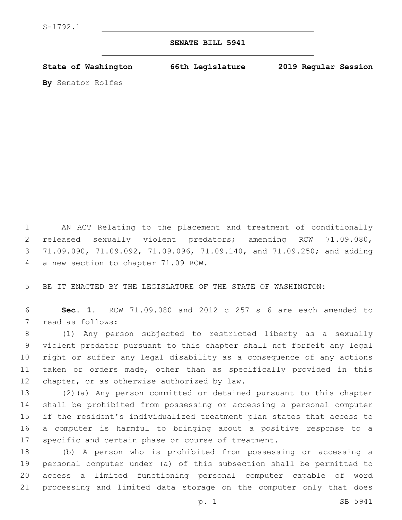## **SENATE BILL 5941**

**State of Washington 66th Legislature 2019 Regular Session**

**By** Senator Rolfes

 AN ACT Relating to the placement and treatment of conditionally released sexually violent predators; amending RCW 71.09.080, 71.09.090, 71.09.092, 71.09.096, 71.09.140, and 71.09.250; and adding 4 a new section to chapter 71.09 RCW.

BE IT ENACTED BY THE LEGISLATURE OF THE STATE OF WASHINGTON:

 **Sec. 1.** RCW 71.09.080 and 2012 c 257 s 6 are each amended to 7 read as follows:

 (1) Any person subjected to restricted liberty as a sexually violent predator pursuant to this chapter shall not forfeit any legal right or suffer any legal disability as a consequence of any actions taken or orders made, other than as specifically provided in this 12 chapter, or as otherwise authorized by law.

 (2)(a) Any person committed or detained pursuant to this chapter shall be prohibited from possessing or accessing a personal computer if the resident's individualized treatment plan states that access to a computer is harmful to bringing about a positive response to a specific and certain phase or course of treatment.

 (b) A person who is prohibited from possessing or accessing a personal computer under (a) of this subsection shall be permitted to access a limited functioning personal computer capable of word processing and limited data storage on the computer only that does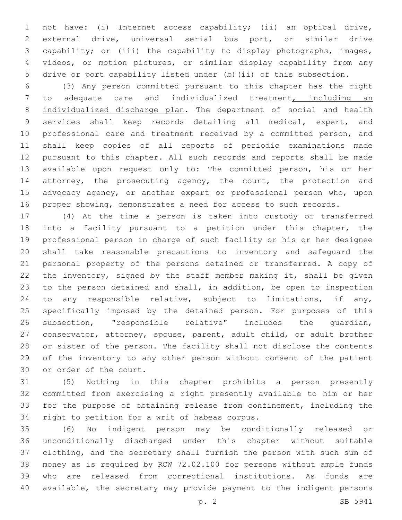not have: (i) Internet access capability; (ii) an optical drive, external drive, universal serial bus port, or similar drive capability; or (iii) the capability to display photographs, images, videos, or motion pictures, or similar display capability from any drive or port capability listed under (b)(ii) of this subsection.

 (3) Any person committed pursuant to this chapter has the right to adequate care and individualized treatment, including an 8 individualized discharge plan. The department of social and health services shall keep records detailing all medical, expert, and professional care and treatment received by a committed person, and shall keep copies of all reports of periodic examinations made pursuant to this chapter. All such records and reports shall be made available upon request only to: The committed person, his or her 14 attorney, the prosecuting agency, the court, the protection and advocacy agency, or another expert or professional person who, upon proper showing, demonstrates a need for access to such records.

 (4) At the time a person is taken into custody or transferred into a facility pursuant to a petition under this chapter, the professional person in charge of such facility or his or her designee shall take reasonable precautions to inventory and safeguard the personal property of the persons detained or transferred. A copy of the inventory, signed by the staff member making it, shall be given to the person detained and shall, in addition, be open to inspection to any responsible relative, subject to limitations, if any, specifically imposed by the detained person. For purposes of this subsection, "responsible relative" includes the guardian, conservator, attorney, spouse, parent, adult child, or adult brother or sister of the person. The facility shall not disclose the contents of the inventory to any other person without consent of the patient 30 or order of the court.

 (5) Nothing in this chapter prohibits a person presently committed from exercising a right presently available to him or her for the purpose of obtaining release from confinement, including the 34 right to petition for a writ of habeas corpus.

 (6) No indigent person may be conditionally released or unconditionally discharged under this chapter without suitable clothing, and the secretary shall furnish the person with such sum of money as is required by RCW 72.02.100 for persons without ample funds who are released from correctional institutions. As funds are available, the secretary may provide payment to the indigent persons

p. 2 SB 5941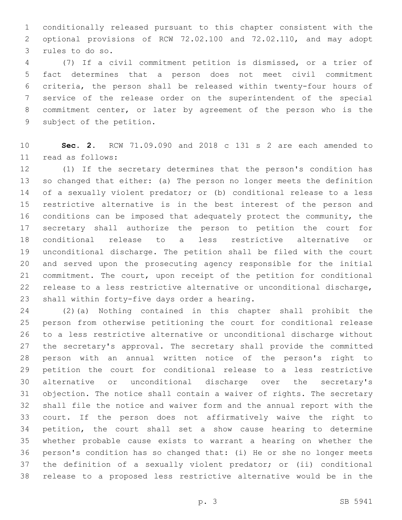conditionally released pursuant to this chapter consistent with the optional provisions of RCW 72.02.100 and 72.02.110, and may adopt 3 rules to do so.

 (7) If a civil commitment petition is dismissed, or a trier of fact determines that a person does not meet civil commitment criteria, the person shall be released within twenty-four hours of service of the release order on the superintendent of the special commitment center, or later by agreement of the person who is the 9 subject of the petition.

 **Sec. 2.** RCW 71.09.090 and 2018 c 131 s 2 are each amended to 11 read as follows:

 (1) If the secretary determines that the person's condition has so changed that either: (a) The person no longer meets the definition of a sexually violent predator; or (b) conditional release to a less restrictive alternative is in the best interest of the person and conditions can be imposed that adequately protect the community, the secretary shall authorize the person to petition the court for conditional release to a less restrictive alternative or unconditional discharge. The petition shall be filed with the court and served upon the prosecuting agency responsible for the initial commitment. The court, upon receipt of the petition for conditional release to a less restrictive alternative or unconditional discharge, 23 shall within forty-five days order a hearing.

 (2)(a) Nothing contained in this chapter shall prohibit the person from otherwise petitioning the court for conditional release to a less restrictive alternative or unconditional discharge without the secretary's approval. The secretary shall provide the committed person with an annual written notice of the person's right to petition the court for conditional release to a less restrictive alternative or unconditional discharge over the secretary's objection. The notice shall contain a waiver of rights. The secretary shall file the notice and waiver form and the annual report with the court. If the person does not affirmatively waive the right to petition, the court shall set a show cause hearing to determine whether probable cause exists to warrant a hearing on whether the person's condition has so changed that: (i) He or she no longer meets the definition of a sexually violent predator; or (ii) conditional release to a proposed less restrictive alternative would be in the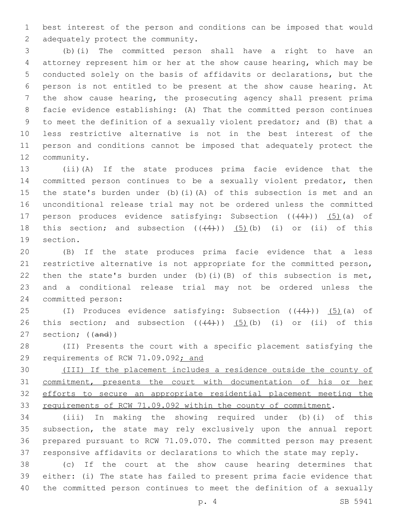best interest of the person and conditions can be imposed that would 2 adequately protect the community.

 (b)(i) The committed person shall have a right to have an attorney represent him or her at the show cause hearing, which may be conducted solely on the basis of affidavits or declarations, but the person is not entitled to be present at the show cause hearing. At the show cause hearing, the prosecuting agency shall present prima facie evidence establishing: (A) That the committed person continues to meet the definition of a sexually violent predator; and (B) that a less restrictive alternative is not in the best interest of the person and conditions cannot be imposed that adequately protect the 12 community.

 (ii)(A) If the state produces prima facie evidence that the committed person continues to be a sexually violent predator, then the state's burden under (b)(i)(A) of this subsection is met and an unconditional release trial may not be ordered unless the committed 17 person produces evidence satisfying: Subsection  $((+4+))$  (5)(a) of 18 this section; and subsection  $((+4))$   $(5)$  (b) (i) or (ii) of this 19 section.

 (B) If the state produces prima facie evidence that a less restrictive alternative is not appropriate for the committed person, 22 then the state's burden under (b)(i)(B) of this subsection is met, and a conditional release trial may not be ordered unless the 24 committed person:

25 (I) Produces evidence satisfying: Subsection  $((+4))$   $(5)$  (a) of 26 this section; and subsection  $((+4))$   $(5)$  (b) (i) or (ii) of this section; ((and))

 (II) Presents the court with a specific placement satisfying the 29 requirements of RCW 71.09.092; and

 (III) If the placement includes a residence outside the county of commitment, presents the court with documentation of his or her efforts to secure an appropriate residential placement meeting the requirements of RCW 71.09.092 within the county of commitment.

 (iii) In making the showing required under (b)(i) of this subsection, the state may rely exclusively upon the annual report prepared pursuant to RCW 71.09.070. The committed person may present responsive affidavits or declarations to which the state may reply.

 (c) If the court at the show cause hearing determines that either: (i) The state has failed to present prima facie evidence that the committed person continues to meet the definition of a sexually

p. 4 SB 5941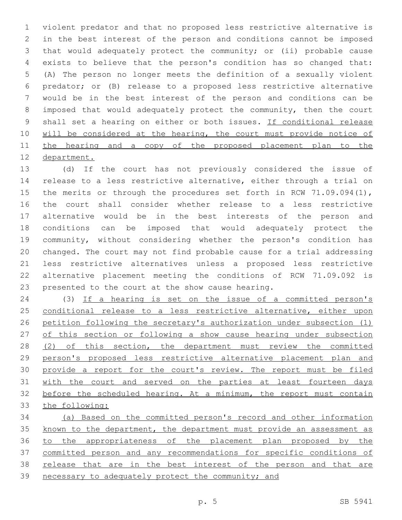violent predator and that no proposed less restrictive alternative is in the best interest of the person and conditions cannot be imposed that would adequately protect the community; or (ii) probable cause exists to believe that the person's condition has so changed that: (A) The person no longer meets the definition of a sexually violent predator; or (B) release to a proposed less restrictive alternative would be in the best interest of the person and conditions can be imposed that would adequately protect the community, then the court 9 shall set a hearing on either or both issues. If conditional release 10 will be considered at the hearing, the court must provide notice of the hearing and a copy of the proposed placement plan to the department.

 (d) If the court has not previously considered the issue of release to a less restrictive alternative, either through a trial on 15 the merits or through the procedures set forth in RCW 71.09.094(1), the court shall consider whether release to a less restrictive alternative would be in the best interests of the person and conditions can be imposed that would adequately protect the community, without considering whether the person's condition has changed. The court may not find probable cause for a trial addressing less restrictive alternatives unless a proposed less restrictive alternative placement meeting the conditions of RCW 71.09.092 is 23 presented to the court at the show cause hearing.

 (3) If a hearing is set on the issue of a committed person's 25 conditional release to a less restrictive alternative, either upon petition following the secretary's authorization under subsection (1) 27 of this section or following a show cause hearing under subsection (2) of this section, the department must review the committed person's proposed less restrictive alternative placement plan and 30 provide a report for the court's review. The report must be filed with the court and served on the parties at least fourteen days before the scheduled hearing. At a minimum, the report must contain the following:

 (a) Based on the committed person's record and other information known to the department, the department must provide an assessment as to the appropriateness of the placement plan proposed by the committed person and any recommendations for specific conditions of release that are in the best interest of the person and that are necessary to adequately protect the community; and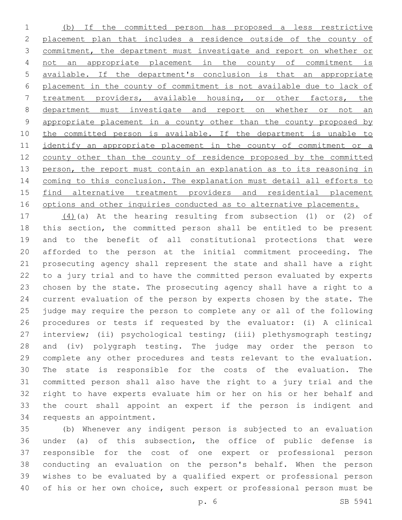(b) If the committed person has proposed a less restrictive placement plan that includes a residence outside of the county of commitment, the department must investigate and report on whether or not an appropriate placement in the county of commitment is available. If the department's conclusion is that an appropriate placement in the county of commitment is not available due to lack of treatment providers, available housing, or other factors, the department must investigate and report on whether or not an appropriate placement in a county other than the county proposed by 10 the committed person is available. If the department is unable to 11 identify an appropriate placement in the county of commitment or a county other than the county of residence proposed by the committed 13 person, the report must contain an explanation as to its reasoning in coming to this conclusion. The explanation must detail all efforts to find alternative treatment providers and residential placement 16 options and other inquiries conducted as to alternative placements.

 (4)(a) At the hearing resulting from subsection (1) or (2) of this section, the committed person shall be entitled to be present and to the benefit of all constitutional protections that were afforded to the person at the initial commitment proceeding. The prosecuting agency shall represent the state and shall have a right to a jury trial and to have the committed person evaluated by experts chosen by the state. The prosecuting agency shall have a right to a current evaluation of the person by experts chosen by the state. The judge may require the person to complete any or all of the following procedures or tests if requested by the evaluator: (i) A clinical interview; (ii) psychological testing; (iii) plethysmograph testing; and (iv) polygraph testing. The judge may order the person to complete any other procedures and tests relevant to the evaluation. The state is responsible for the costs of the evaluation. The committed person shall also have the right to a jury trial and the right to have experts evaluate him or her on his or her behalf and the court shall appoint an expert if the person is indigent and 34 requests an appointment.

 (b) Whenever any indigent person is subjected to an evaluation under (a) of this subsection, the office of public defense is responsible for the cost of one expert or professional person conducting an evaluation on the person's behalf. When the person wishes to be evaluated by a qualified expert or professional person of his or her own choice, such expert or professional person must be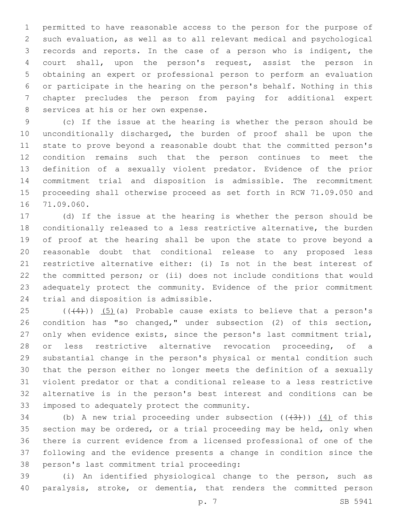permitted to have reasonable access to the person for the purpose of such evaluation, as well as to all relevant medical and psychological records and reports. In the case of a person who is indigent, the court shall, upon the person's request, assist the person in obtaining an expert or professional person to perform an evaluation or participate in the hearing on the person's behalf. Nothing in this chapter precludes the person from paying for additional expert 8 services at his or her own expense.

 (c) If the issue at the hearing is whether the person should be unconditionally discharged, the burden of proof shall be upon the state to prove beyond a reasonable doubt that the committed person's condition remains such that the person continues to meet the definition of a sexually violent predator. Evidence of the prior commitment trial and disposition is admissible. The recommitment proceeding shall otherwise proceed as set forth in RCW 71.09.050 and 16 71.09.060.

 (d) If the issue at the hearing is whether the person should be conditionally released to a less restrictive alternative, the burden of proof at the hearing shall be upon the state to prove beyond a reasonable doubt that conditional release to any proposed less restrictive alternative either: (i) Is not in the best interest of the committed person; or (ii) does not include conditions that would adequately protect the community. Evidence of the prior commitment 24 trial and disposition is admissible.

 $(1)(4)$ )  $(5)(a)$  Probable cause exists to believe that a person's condition has "so changed," under subsection (2) of this section, only when evidence exists, since the person's last commitment trial, or less restrictive alternative revocation proceeding, of a substantial change in the person's physical or mental condition such that the person either no longer meets the definition of a sexually violent predator or that a conditional release to a less restrictive alternative is in the person's best interest and conditions can be 33 imposed to adequately protect the community.

34 (b) A new trial proceeding under subsection  $((+3+))$  (4) of this section may be ordered, or a trial proceeding may be held, only when there is current evidence from a licensed professional of one of the following and the evidence presents a change in condition since the 38 person's last commitment trial proceeding:

 (i) An identified physiological change to the person, such as paralysis, stroke, or dementia, that renders the committed person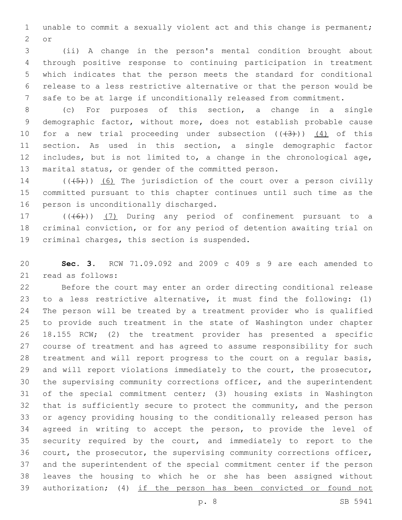unable to commit a sexually violent act and this change is permanent; 2 or

 (ii) A change in the person's mental condition brought about through positive response to continuing participation in treatment which indicates that the person meets the standard for conditional release to a less restrictive alternative or that the person would be safe to be at large if unconditionally released from commitment.

 (c) For purposes of this section, a change in a single demographic factor, without more, does not establish probable cause 10 for a new trial proceeding under subsection  $((+3+))$   $(4)$  of this section. As used in this section, a single demographic factor includes, but is not limited to, a change in the chronological age, marital status, or gender of the committed person.

14  $((+5+))$   $(6)$  The jurisdiction of the court over a person civilly committed pursuant to this chapter continues until such time as the 16 person is unconditionally discharged.

17 (((6)) (7) During any period of confinement pursuant to a criminal conviction, or for any period of detention awaiting trial on 19 criminal charges, this section is suspended.

 **Sec. 3.** RCW 71.09.092 and 2009 c 409 s 9 are each amended to 21 read as follows:

 Before the court may enter an order directing conditional release to a less restrictive alternative, it must find the following: (1) The person will be treated by a treatment provider who is qualified to provide such treatment in the state of Washington under chapter 18.155 RCW; (2) the treatment provider has presented a specific course of treatment and has agreed to assume responsibility for such treatment and will report progress to the court on a regular basis, and will report violations immediately to the court, the prosecutor, the supervising community corrections officer, and the superintendent of the special commitment center; (3) housing exists in Washington that is sufficiently secure to protect the community, and the person or agency providing housing to the conditionally released person has agreed in writing to accept the person, to provide the level of security required by the court, and immediately to report to the court, the prosecutor, the supervising community corrections officer, and the superintendent of the special commitment center if the person leaves the housing to which he or she has been assigned without authorization; (4) if the person has been convicted or found not

p. 8 SB 5941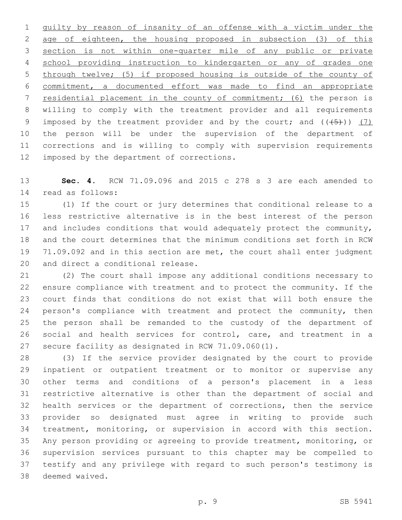guilty by reason of insanity of an offense with a victim under the age of eighteen, the housing proposed in subsection (3) of this section is not within one-quarter mile of any public or private school providing instruction to kindergarten or any of grades one through twelve; (5) if proposed housing is outside of the county of commitment, a documented effort was made to find an appropriate residential placement in the county of commitment; (6) the person is willing to comply with the treatment provider and all requirements 9 imposed by the treatment provider and by the court; and  $((+5+))$  (7) the person will be under the supervision of the department of corrections and is willing to comply with supervision requirements 12 imposed by the department of corrections.

 **Sec. 4.** RCW 71.09.096 and 2015 c 278 s 3 are each amended to 14 read as follows:

 (1) If the court or jury determines that conditional release to a less restrictive alternative is in the best interest of the person 17 and includes conditions that would adequately protect the community, and the court determines that the minimum conditions set forth in RCW 71.09.092 and in this section are met, the court shall enter judgment 20 and direct a conditional release.

 (2) The court shall impose any additional conditions necessary to ensure compliance with treatment and to protect the community. If the court finds that conditions do not exist that will both ensure the 24 person's compliance with treatment and protect the community, then the person shall be remanded to the custody of the department of social and health services for control, care, and treatment in a secure facility as designated in RCW 71.09.060(1).

 (3) If the service provider designated by the court to provide inpatient or outpatient treatment or to monitor or supervise any other terms and conditions of a person's placement in a less restrictive alternative is other than the department of social and health services or the department of corrections, then the service provider so designated must agree in writing to provide such treatment, monitoring, or supervision in accord with this section. Any person providing or agreeing to provide treatment, monitoring, or supervision services pursuant to this chapter may be compelled to testify and any privilege with regard to such person's testimony is 38 deemed waived.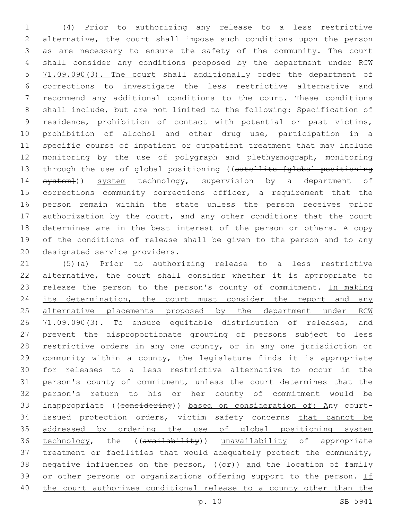(4) Prior to authorizing any release to a less restrictive alternative, the court shall impose such conditions upon the person as are necessary to ensure the safety of the community. The court shall consider any conditions proposed by the department under RCW 5 71.09.090(3). The court shall additionally order the department of corrections to investigate the less restrictive alternative and recommend any additional conditions to the court. These conditions shall include, but are not limited to the following: Specification of residence, prohibition of contact with potential or past victims, prohibition of alcohol and other drug use, participation in a specific course of inpatient or outpatient treatment that may include monitoring by the use of polygraph and plethysmograph, monitoring 13 through the use of global positioning ((satellite [global positioning 14 system})) system technology, supervision by a department of 15 corrections community corrections officer, a requirement that the person remain within the state unless the person receives prior authorization by the court, and any other conditions that the court determines are in the best interest of the person or others. A copy of the conditions of release shall be given to the person and to any 20 designated service providers.

 (5)(a) Prior to authorizing release to a less restrictive alternative, the court shall consider whether it is appropriate to 23 release the person to the person's county of commitment. In making 24 its determination, the court must consider the report and any 25 alternative placements proposed by the department under RCW 26 71.09.090(3). To ensure equitable distribution of releases, and prevent the disproportionate grouping of persons subject to less restrictive orders in any one county, or in any one jurisdiction or community within a county, the legislature finds it is appropriate for releases to a less restrictive alternative to occur in the person's county of commitment, unless the court determines that the person's return to his or her county of commitment would be inappropriate ((considering)) based on consideration of: Any court- issued protection orders, victim safety concerns that cannot be addressed by ordering the use of global positioning system 36 technology, the ((availability)) unavailability of appropriate treatment or facilities that would adequately protect the community, 38 negative influences on the person,  $(\theta \hat{r})$  and the location of family 39 or other persons or organizations offering support to the person. If the court authorizes conditional release to a county other than the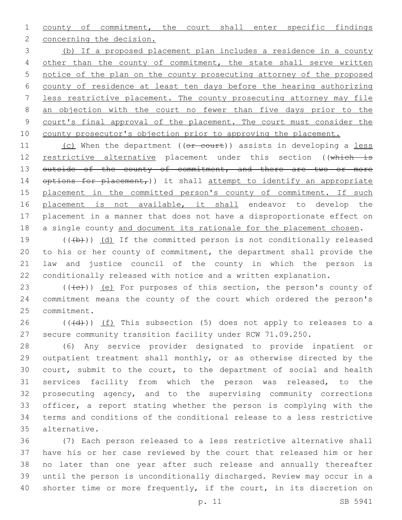county of commitment, the court shall enter specific findings 2 concerning the decision.

 (b) If a proposed placement plan includes a residence in a county 4 other than the county of commitment, the state shall serve written notice of the plan on the county prosecuting attorney of the proposed county of residence at least ten days before the hearing authorizing less restrictive placement. The county prosecuting attorney may file an objection with the court no fewer than five days prior to the court's final approval of the placement. The court must consider the county prosecutor's objection prior to approving the placement.

11 (c) When the department ((or court)) assists in developing a less 12 restrictive alternative placement under this section ((which is 13 outside of the county of commitment, and there are two or more 14 options for placement,)) it shall attempt to identify an appropriate 15 placement in the committed person's county of commitment. If such 16 placement is not available, it shall endeavor to develop the placement in a manner that does not have a disproportionate effect on 18 a single county and document its rationale for the placement chosen.

 $((+b))$   $(d)$  If the committed person is not conditionally released to his or her county of commitment, the department shall provide the law and justice council of the county in which the person is conditionally released with notice and a written explanation.

23  $((\text{+e})^2)(\text{e})^2$  for purposes of this section, the person's county of commitment means the county of the court which ordered the person's 25 commitment.

 $((+d))$   $(f)$  This subsection (5) does not apply to releases to a secure community transition facility under RCW 71.09.250.

 (6) Any service provider designated to provide inpatient or outpatient treatment shall monthly, or as otherwise directed by the court, submit to the court, to the department of social and health services facility from which the person was released, to the prosecuting agency, and to the supervising community corrections officer, a report stating whether the person is complying with the terms and conditions of the conditional release to a less restrictive alternative.35

 (7) Each person released to a less restrictive alternative shall have his or her case reviewed by the court that released him or her no later than one year after such release and annually thereafter until the person is unconditionally discharged. Review may occur in a 40 shorter time or more frequently, if the court, in its discretion on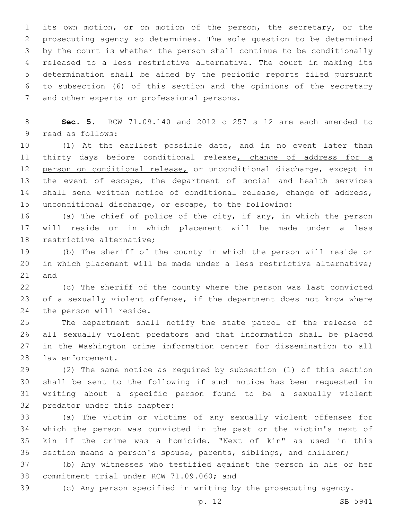its own motion, or on motion of the person, the secretary, or the prosecuting agency so determines. The sole question to be determined by the court is whether the person shall continue to be conditionally released to a less restrictive alternative. The court in making its determination shall be aided by the periodic reports filed pursuant to subsection (6) of this section and the opinions of the secretary 7 and other experts or professional persons.

 **Sec. 5.** RCW 71.09.140 and 2012 c 257 s 12 are each amended to 9 read as follows:

 (1) At the earliest possible date, and in no event later than 11 thirty days before conditional release, change of address for a 12 person on conditional release, or unconditional discharge, except in the event of escape, the department of social and health services 14 shall send written notice of conditional release, change of address, unconditional discharge, or escape, to the following:

 (a) The chief of police of the city, if any, in which the person will reside or in which placement will be made under a less 18 restrictive alternative:

 (b) The sheriff of the county in which the person will reside or in which placement will be made under a less restrictive alternative; and

 (c) The sheriff of the county where the person was last convicted of a sexually violent offense, if the department does not know where 24 the person will reside.

 The department shall notify the state patrol of the release of all sexually violent predators and that information shall be placed in the Washington crime information center for dissemination to all 28 law enforcement.

 (2) The same notice as required by subsection (1) of this section shall be sent to the following if such notice has been requested in writing about a specific person found to be a sexually violent 32 predator under this chapter:

 (a) The victim or victims of any sexually violent offenses for which the person was convicted in the past or the victim's next of kin if the crime was a homicide. "Next of kin" as used in this section means a person's spouse, parents, siblings, and children;

 (b) Any witnesses who testified against the person in his or her 38 commitment trial under RCW 71.09.060; and

(c) Any person specified in writing by the prosecuting agency.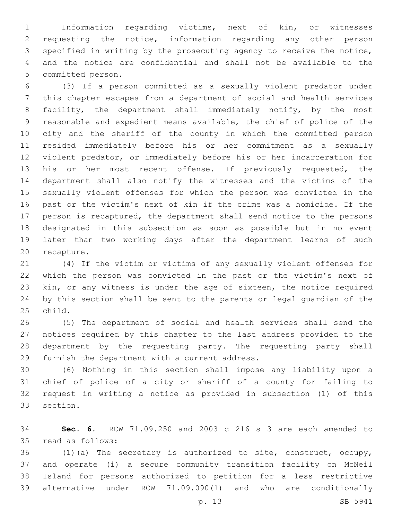Information regarding victims, next of kin, or witnesses requesting the notice, information regarding any other person specified in writing by the prosecuting agency to receive the notice, and the notice are confidential and shall not be available to the 5 committed person.

 (3) If a person committed as a sexually violent predator under this chapter escapes from a department of social and health services facility, the department shall immediately notify, by the most reasonable and expedient means available, the chief of police of the city and the sheriff of the county in which the committed person resided immediately before his or her commitment as a sexually violent predator, or immediately before his or her incarceration for 13 his or her most recent offense. If previously requested, the department shall also notify the witnesses and the victims of the sexually violent offenses for which the person was convicted in the past or the victim's next of kin if the crime was a homicide. If the person is recaptured, the department shall send notice to the persons designated in this subsection as soon as possible but in no event later than two working days after the department learns of such 20 recapture.

 (4) If the victim or victims of any sexually violent offenses for which the person was convicted in the past or the victim's next of kin, or any witness is under the age of sixteen, the notice required by this section shall be sent to the parents or legal guardian of the 25 child.

 (5) The department of social and health services shall send the notices required by this chapter to the last address provided to the department by the requesting party. The requesting party shall 29 furnish the department with a current address.

 (6) Nothing in this section shall impose any liability upon a chief of police of a city or sheriff of a county for failing to request in writing a notice as provided in subsection (1) of this 33 section.

 **Sec. 6.** RCW 71.09.250 and 2003 c 216 s 3 are each amended to 35 read as follows:

 (1)(a) The secretary is authorized to site, construct, occupy, and operate (i) a secure community transition facility on McNeil Island for persons authorized to petition for a less restrictive alternative under RCW 71.09.090(1) and who are conditionally

p. 13 SB 5941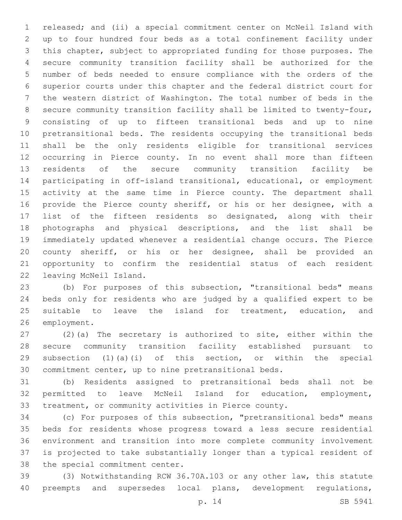released; and (ii) a special commitment center on McNeil Island with up to four hundred four beds as a total confinement facility under this chapter, subject to appropriated funding for those purposes. The secure community transition facility shall be authorized for the number of beds needed to ensure compliance with the orders of the superior courts under this chapter and the federal district court for the western district of Washington. The total number of beds in the secure community transition facility shall be limited to twenty-four, consisting of up to fifteen transitional beds and up to nine pretransitional beds. The residents occupying the transitional beds shall be the only residents eligible for transitional services occurring in Pierce county. In no event shall more than fifteen residents of the secure community transition facility be participating in off-island transitional, educational, or employment activity at the same time in Pierce county. The department shall provide the Pierce county sheriff, or his or her designee, with a list of the fifteen residents so designated, along with their photographs and physical descriptions, and the list shall be immediately updated whenever a residential change occurs. The Pierce county sheriff, or his or her designee, shall be provided an opportunity to confirm the residential status of each resident 22 leaving McNeil Island.

 (b) For purposes of this subsection, "transitional beds" means beds only for residents who are judged by a qualified expert to be 25 suitable to leave the island for treatment, education, and 26 employment.

 (2)(a) The secretary is authorized to site, either within the secure community transition facility established pursuant to subsection (1)(a)(i) of this section, or within the special commitment center, up to nine pretransitional beds.

 (b) Residents assigned to pretransitional beds shall not be permitted to leave McNeil Island for education, employment, treatment, or community activities in Pierce county.

 (c) For purposes of this subsection, "pretransitional beds" means beds for residents whose progress toward a less secure residential environment and transition into more complete community involvement is projected to take substantially longer than a typical resident of 38 the special commitment center.

 (3) Notwithstanding RCW 36.70A.103 or any other law, this statute preempts and supersedes local plans, development regulations,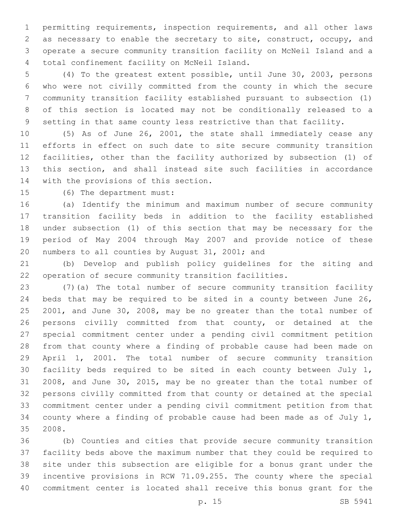permitting requirements, inspection requirements, and all other laws as necessary to enable the secretary to site, construct, occupy, and operate a secure community transition facility on McNeil Island and a 4 total confinement facility on McNeil Island.

 (4) To the greatest extent possible, until June 30, 2003, persons who were not civilly committed from the county in which the secure community transition facility established pursuant to subsection (1) of this section is located may not be conditionally released to a setting in that same county less restrictive than that facility.

 (5) As of June 26, 2001, the state shall immediately cease any efforts in effect on such date to site secure community transition facilities, other than the facility authorized by subsection (1) of this section, and shall instead site such facilities in accordance 14 with the provisions of this section.

15 (6) The department must:

 (a) Identify the minimum and maximum number of secure community transition facility beds in addition to the facility established under subsection (1) of this section that may be necessary for the period of May 2004 through May 2007 and provide notice of these 20 numbers to all counties by August 31, 2001; and

 (b) Develop and publish policy guidelines for the siting and operation of secure community transition facilities.

 (7)(a) The total number of secure community transition facility beds that may be required to be sited in a county between June 26, 2001, and June 30, 2008, may be no greater than the total number of persons civilly committed from that county, or detained at the special commitment center under a pending civil commitment petition from that county where a finding of probable cause had been made on April 1, 2001. The total number of secure community transition facility beds required to be sited in each county between July 1, 2008, and June 30, 2015, may be no greater than the total number of persons civilly committed from that county or detained at the special commitment center under a pending civil commitment petition from that county where a finding of probable cause had been made as of July 1, 2008.35

 (b) Counties and cities that provide secure community transition facility beds above the maximum number that they could be required to site under this subsection are eligible for a bonus grant under the incentive provisions in RCW 71.09.255. The county where the special commitment center is located shall receive this bonus grant for the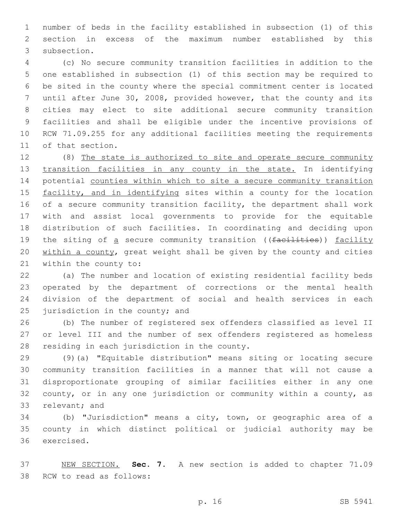number of beds in the facility established in subsection (1) of this section in excess of the maximum number established by this 3 subsection.

 (c) No secure community transition facilities in addition to the one established in subsection (1) of this section may be required to be sited in the county where the special commitment center is located until after June 30, 2008, provided however, that the county and its cities may elect to site additional secure community transition facilities and shall be eligible under the incentive provisions of RCW 71.09.255 for any additional facilities meeting the requirements 11 of that section.

 (8) The state is authorized to site and operate secure community 13 transition facilities in any county in the state. In identifying 14 potential counties within which to site a secure community transition 15 facility, and in identifying sites within a county for the location of a secure community transition facility, the department shall work with and assist local governments to provide for the equitable distribution of such facilities. In coordinating and deciding upon 19 the siting of a secure community transition ((facilities)) facility within a county, great weight shall be given by the county and cities 21 within the county to:

 (a) The number and location of existing residential facility beds operated by the department of corrections or the mental health division of the department of social and health services in each 25 jurisdiction in the county; and

 (b) The number of registered sex offenders classified as level II or level III and the number of sex offenders registered as homeless 28 residing in each jurisdiction in the county.

 (9)(a) "Equitable distribution" means siting or locating secure community transition facilities in a manner that will not cause a disproportionate grouping of similar facilities either in any one county, or in any one jurisdiction or community within a county, as 33 relevant; and

 (b) "Jurisdiction" means a city, town, or geographic area of a county in which distinct political or judicial authority may be 36 exercised.

 NEW SECTION. **Sec. 7.** A new section is added to chapter 71.09 38 RCW to read as follows: